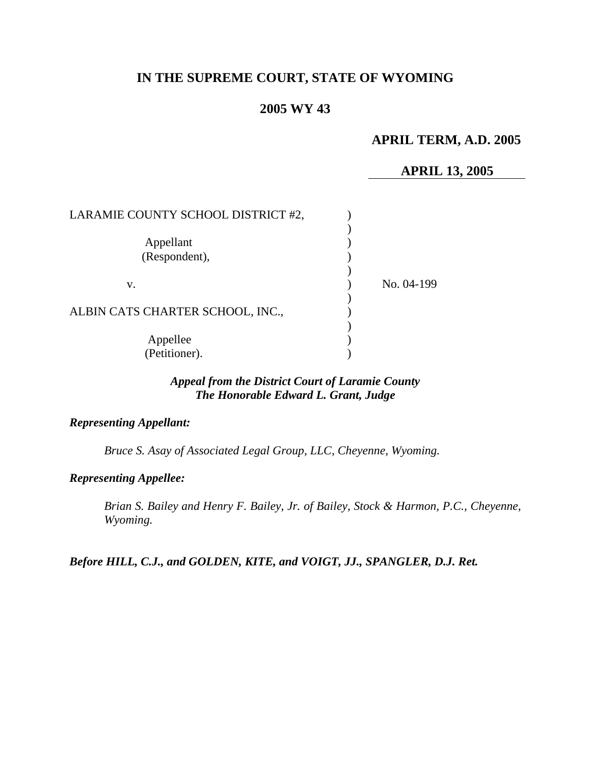# **IN THE SUPREME COURT, STATE OF WYOMING**

# **2005 WY 43**

# **APRIL TERM, A.D. 2005**

## **APRIL 13, 2005**

| LARAMIE COUNTY SCHOOL DISTRICT #2, |            |
|------------------------------------|------------|
| Appellant<br>(Respondent),         |            |
| v.                                 | No. 04-199 |
| ALBIN CATS CHARTER SCHOOL, INC.,   |            |
| Appellee<br>(Petitioner).          |            |

# *Appeal from the District Court of Laramie County The Honorable Edward L. Grant, Judge*

## *Representing Appellant:*

*Bruce S. Asay of Associated Legal Group, LLC, Cheyenne, Wyoming.* 

#### *Representing Appellee:*

*Brian S. Bailey and Henry F. Bailey, Jr. of Bailey, Stock & Harmon, P.C., Cheyenne, Wyoming.* 

*Before HILL, C.J., and GOLDEN, KITE, and VOIGT, JJ., SPANGLER, D.J. Ret.*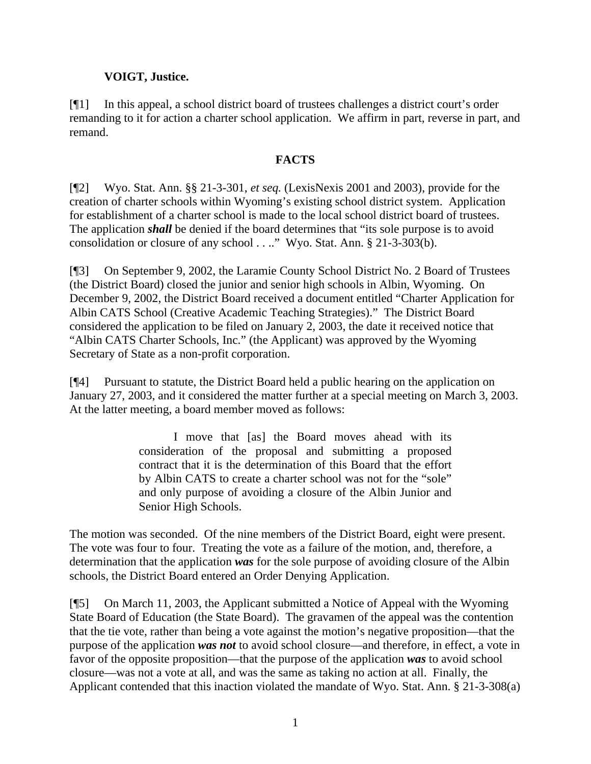## **VOIGT, Justice.**

[¶1] In this appeal, a school district board of trustees challenges a district court's order remanding to it for action a charter school application. We affirm in part, reverse in part, and remand.

## **FACTS**

[¶2] Wyo. Stat. Ann. §§ 21-3-301, *et seq.* (LexisNexis 2001 and 2003), provide for the creation of charter schools within Wyoming's existing school district system. Application for establishment of a charter school is made to the local school district board of trustees. The application *shall* be denied if the board determines that "its sole purpose is to avoid consolidation or closure of any school . . .." Wyo. Stat. Ann. § 21-3-303(b).

[¶3] On September 9, 2002, the Laramie County School District No. 2 Board of Trustees (the District Board) closed the junior and senior high schools in Albin, Wyoming. On December 9, 2002, the District Board received a document entitled "Charter Application for Albin CATS School (Creative Academic Teaching Strategies)." The District Board considered the application to be filed on January 2, 2003, the date it received notice that "Albin CATS Charter Schools, Inc." (the Applicant) was approved by the Wyoming Secretary of State as a non-profit corporation.

[¶4] Pursuant to statute, the District Board held a public hearing on the application on January 27, 2003, and it considered the matter further at a special meeting on March 3, 2003. At the latter meeting, a board member moved as follows:

> I move that [as] the Board moves ahead with its consideration of the proposal and submitting a proposed contract that it is the determination of this Board that the effort by Albin CATS to create a charter school was not for the "sole" and only purpose of avoiding a closure of the Albin Junior and Senior High Schools.

The motion was seconded. Of the nine members of the District Board, eight were present. The vote was four to four. Treating the vote as a failure of the motion, and, therefore, a determination that the application *was* for the sole purpose of avoiding closure of the Albin schools, the District Board entered an Order Denying Application.

[¶5] On March 11, 2003, the Applicant submitted a Notice of Appeal with the Wyoming State Board of Education (the State Board). The gravamen of the appeal was the contention that the tie vote, rather than being a vote against the motion's negative proposition—that the purpose of the application *was not* to avoid school closure—and therefore, in effect, a vote in favor of the opposite proposition—that the purpose of the application *was* to avoid school closure—was not a vote at all, and was the same as taking no action at all. Finally, the Applicant contended that this inaction violated the mandate of Wyo. Stat. Ann. § 21-3-308(a)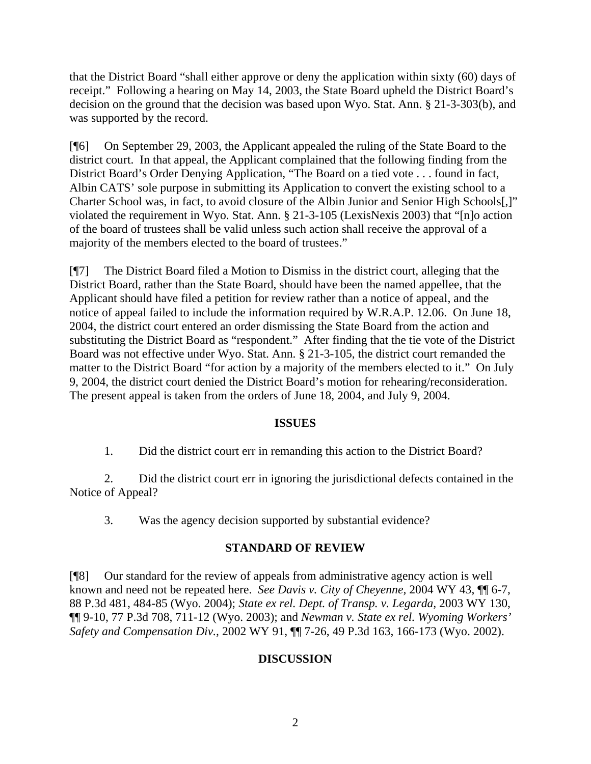that the District Board "shall either approve or deny the application within sixty (60) days of receipt." Following a hearing on May 14, 2003, the State Board upheld the District Board's decision on the ground that the decision was based upon Wyo. Stat. Ann. § 21-3-303(b), and was supported by the record.

[¶6] On September 29, 2003, the Applicant appealed the ruling of the State Board to the district court. In that appeal, the Applicant complained that the following finding from the District Board's Order Denying Application, "The Board on a tied vote . . . found in fact, Albin CATS' sole purpose in submitting its Application to convert the existing school to a Charter School was, in fact, to avoid closure of the Albin Junior and Senior High Schools[,]" violated the requirement in Wyo. Stat. Ann. § 21-3-105 (LexisNexis 2003) that "[n]o action of the board of trustees shall be valid unless such action shall receive the approval of a majority of the members elected to the board of trustees."

[¶7] The District Board filed a Motion to Dismiss in the district court, alleging that the District Board, rather than the State Board, should have been the named appellee, that the Applicant should have filed a petition for review rather than a notice of appeal, and the notice of appeal failed to include the information required by W.R.A.P. 12.06. On June 18, 2004, the district court entered an order dismissing the State Board from the action and substituting the District Board as "respondent." After finding that the tie vote of the District Board was not effective under Wyo. Stat. Ann. § 21-3-105, the district court remanded the matter to the District Board "for action by a majority of the members elected to it." On July 9, 2004, the district court denied the District Board's motion for rehearing/reconsideration. The present appeal is taken from the orders of June 18, 2004, and July 9, 2004.

## **ISSUES**

1. Did the district court err in remanding this action to the District Board?

2. Did the district court err in ignoring the jurisdictional defects contained in the Notice of Appeal?

3. Was the agency decision supported by substantial evidence?

### **STANDARD OF REVIEW**

[¶8] Our standard for the review of appeals from administrative agency action is well known and need not be repeated here. *See Davis v. City of Cheyenne,* 2004 WY 43, ¶¶ 6-7, 88 P.3d 481, 484-85 (Wyo. 2004); *State ex rel. Dept. of Transp. v. Legarda,* 2003 WY 130, ¶¶ 9-10, 77 P.3d 708, 711-12 (Wyo. 2003); and *Newman v. State ex rel. Wyoming Workers' Safety and Compensation Div.,* 2002 WY 91, ¶¶ 7-26, 49 P.3d 163, 166-173 (Wyo. 2002).

## **DISCUSSION**